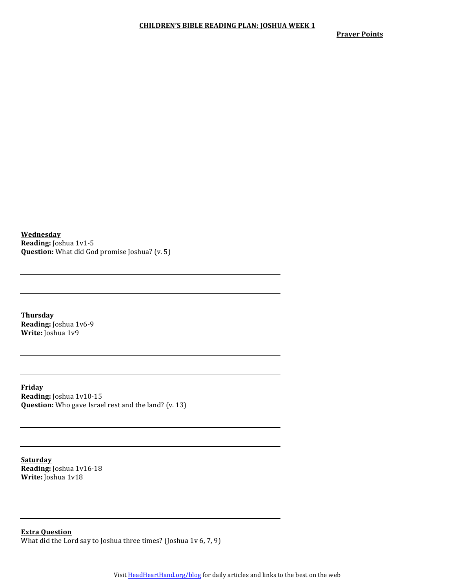**Prayer Points** 

**Wednesday Reading:** Joshua 1v1-5 **Question:** What did God promise Joshua? (v. 5)

**Thursday Reading:** Joshua 1v6-9 **Write:** Joshua 1v9

**Friday Reading:** Joshua 1v10-15 **Question:** Who gave Israel rest and the land? (v. 13)

**Saturday Reading:** Joshua 1v16-18 **Write:** Joshua 1v18

**Extra Question**

What did the Lord say to Joshua three times? (Joshua  $1v$  6, 7, 9)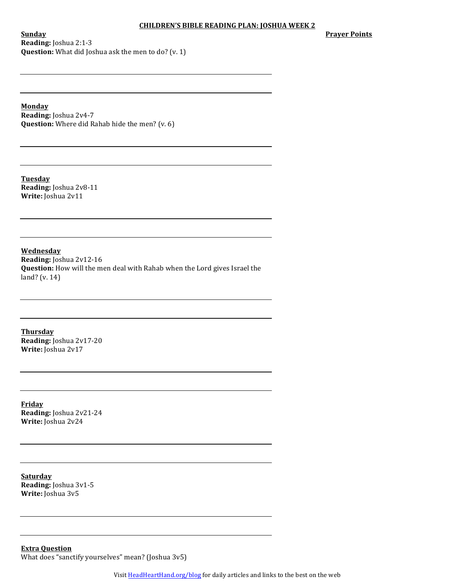**Sunday Reading:** Joshua 2:1-3 **Question:** What did Joshua ask the men to do? (v. 1) **Prayer Points** 

**Monday**

**Reading:** Joshua 2v4-7 **Question:** Where did Rahab hide the men? (v. 6)

**Tuesday Reading:** Joshua 2v8-11 **Write:** Joshua 2v11

**Wednesday Reading:** Joshua 2v12-16 **Question:** How will the men deal with Rahab when the Lord gives Israel the land?  $(v. 14)$ 

**Thursday Reading:** Joshua 2v17-20 **Write:** Joshua 2v17

**Friday Reading:** Joshua 2v21-24 **Write:** Joshua 2v24

**Saturday Reading:** Joshua 3v1-5 **Write:** Joshua 3v5

**Extra Question** What does "sanctify yourselves" mean? (Joshua 3v5)

Visit **HeadHeartHand.org/blog** for daily articles and links to the best on the web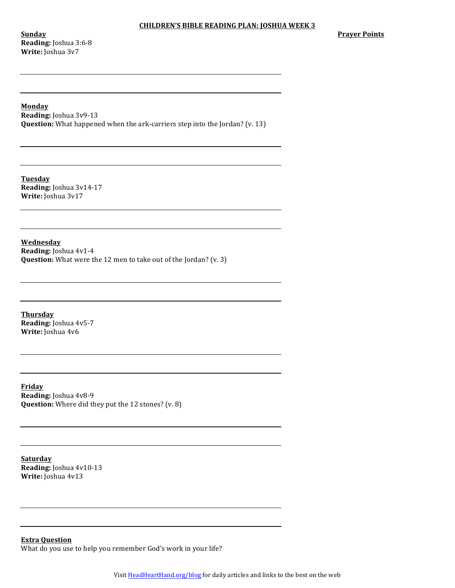**Sunday Reading:** Joshua 3:6-8 **Write:** Joshua 3v7

# **Monday**

**Reading:** Joshua 3v9-13 **Question:** What happened when the ark-carriers step into the Jordan? (v. 13)

**Tuesday Reading:** Joshua 3v14-17 **Write:** Joshua 3v17

**Wednesday**

**Reading:** Joshua 4v1-4 **Question:** What were the 12 men to take out of the Jordan? (v. 3)

**Thursday Reading:** Joshua 4v5-7 **Write:** Joshua 4v6

**Friday Reading:** Joshua 4v8-9 **Question:** Where did they put the 12 stones? (v. 8)

**Saturday Reading:** Joshua 4v10-13 **Write:** Joshua 4v13

**Extra Question** What do you use to help you remember God's work in your life?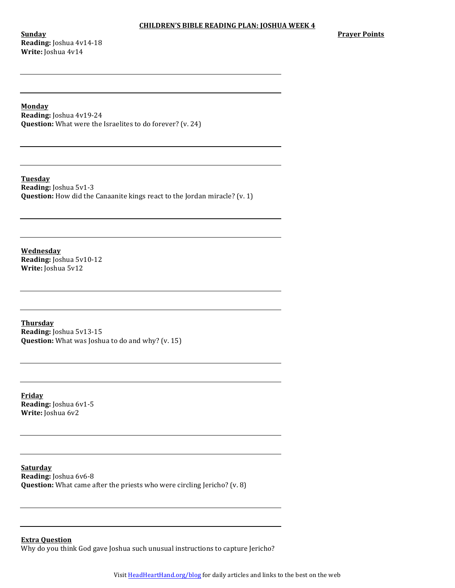**Sunday Reading:** Joshua 4v14-18 **Write:** Joshua 4v14

# **Monday**

**Reading:** Joshua 4v19-24 **Question:** What were the Israelites to do forever? (v. 24)

**Tuesday Reading:** Joshua 5v1-3 **Question:** How did the Canaanite kings react to the Jordan miracle? (v. 1)

**Wednesday Reading:** Joshua 5v10-12 **Write:** Joshua 5v12

**Thursday Reading:** Joshua 5v13-15 **Question:** What was Joshua to do and why? (v. 15)

**Friday Reading:** Joshua 6v1-5 **Write:** Joshua 6v2

**Saturday Reading:** Joshua 6v6-8 **Question:** What came after the priests who were circling Jericho? (v. 8)

## **Extra Question**

Why do you think God gave Joshua such unusual instructions to capture Jericho?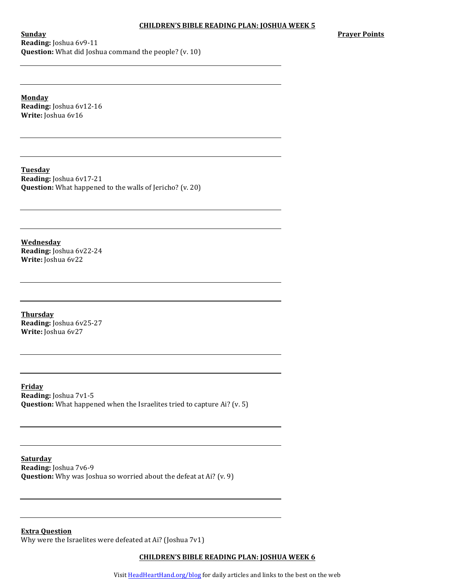**Prayer Points** 

**Sunday Reading:** Joshua 6v9-11 **Question:** What did Joshua command the people? (v. 10)

**Monday Reading:** Joshua 6v12-16 **Write:** Joshua 6v16

**Tuesday Reading:** Joshua 6v17-21 **Question:** What happened to the walls of Jericho? (v. 20)

**Wednesday Reading:** Joshua 6v22-24 **Write:** Joshua 6v22

**Thursday Reading:** Joshua 6v25-27 **Write:** Joshua 6v27

**Friday Reading:** Joshua 7v1-5 **Question:** What happened when the Israelites tried to capture Ai? (v. 5)

**Saturday Reading:** Joshua 7v6-9 **Question:** Why was Joshua so worried about the defeat at Ai? (v. 9)

**Extra Question** Why were the Israelites were defeated at Ai? (Joshua  $7v1$ )

## **CHILDREN'S BIBLE READING PLAN: JOSHUA WEEK 6**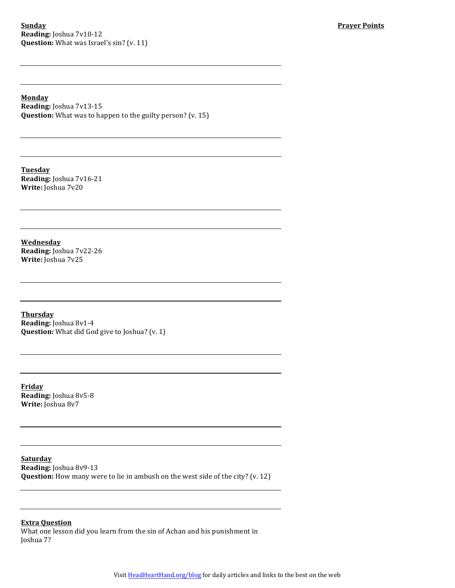**Monday Reading:** Joshua 7v13-15 **Question:** What was to happen to the guilty person? (v. 15)

**Tuesday Reading:** Joshua 7v16-21 **Write:** Joshua 7v20

**Wednesday Reading:** Joshua 7v22-26 **Write:** Joshua 7v25

**Thursday Reading:** Joshua 8v1-4 **Question:** What did God give to Joshua? (v. 1)

**Friday Reading:** Joshua 8v5-8 **Write:** Joshua 8v7

**Saturday Reading:** Joshua 8v9-13 **Question:** How many were to lie in ambush on the west side of the city? (v. 12)

**Extra Question**

What one lesson did you learn from the sin of Achan and his punishment in Joshua 7?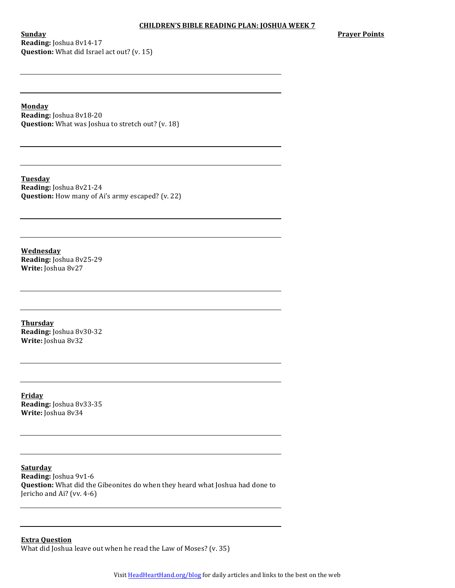**Sunday Reading:** Joshua 8v14-17 **Question:** What did Israel act out? (v. 15) **Prayer Points** 

**Monday**

**Reading:** Joshua 8v18-20 **Question:** What was Joshua to stretch out? (v. 18)

**Tuesday Reading:** Joshua 8v21-24 **Question:** How many of Ai's army escaped? (v. 22)

**Wednesday Reading:** Joshua 8v25-29 **Write:** Joshua 8v27

**Thursday Reading:** Joshua 8v30-32 **Write:** Joshua 8v32

**Friday Reading:** Joshua 8v33-35 **Write:** Joshua 8v34

**Saturday**

**Reading:** Joshua 9v1-6 **Question:** What did the Gibeonites do when they heard what Joshua had done to Jericho and Ai? (vv. 4-6)

**Extra Question** What did Joshua leave out when he read the Law of Moses? (v. 35)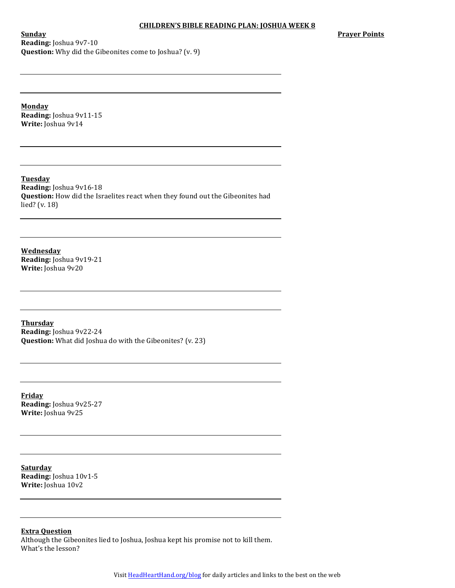**Prayer Points** 

**Sunday Reading:** Joshua 9v7-10 **Question:** Why did the Gibeonites come to Joshua? (v. 9)

**Monday**

**Reading:** Joshua 9v11-15 **Write:** Joshua 9v14

**Tuesday Reading:** Joshua 9v16-18 **Question:** How did the Israelites react when they found out the Gibeonites had lied?  $(v. 18)$ 

**Wednesday Reading: Joshua 9v19-21 Write:** Joshua 9v20

**Thursday Reading:** Joshua 9v22-24 **Question:** What did Joshua do with the Gibeonites? (v. 23)

**Friday Reading:** Joshua 9v25-27 **Write:** Joshua 9v25

**Saturday Reading:** Joshua 10v1-5 **Write:** Joshua 10v2

**Extra Question**

Although the Gibeonites lied to Joshua, Joshua kept his promise not to kill them. What's the lesson?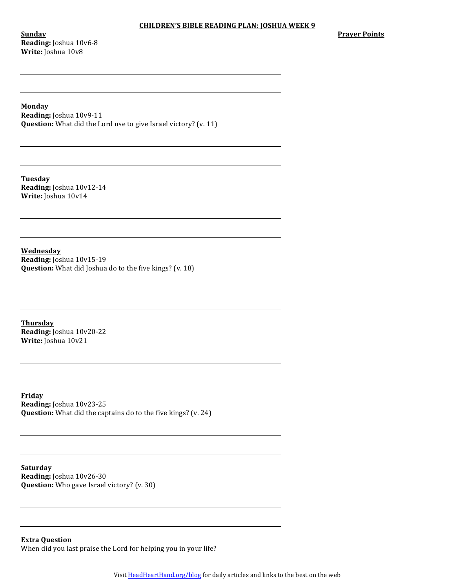**Sunday Reading:** Joshua 10v6-8 **Write:** Joshua 10v8

# **Monday**

**Reading:** Joshua 10v9-11 **Question:** What did the Lord use to give Israel victory? (v. 11)

**Tuesday Reading:** Joshua 10v12-14 **Write:** Joshua 10v14

**Wednesday Reading:** Joshua 10v15-19 **Question:** What did Joshua do to the five kings? (v. 18)

**Thursday Reading:** Joshua 10v20-22 **Write:** Joshua 10v21

**Friday Reading:** Joshua 10v23-25 **Question:** What did the captains do to the five kings? (v. 24)

**Saturday Reading:** Joshua 10v26-30 **Question:** Who gave Israel victory? (v. 30)

**Extra Question** When did you last praise the Lord for helping you in your life?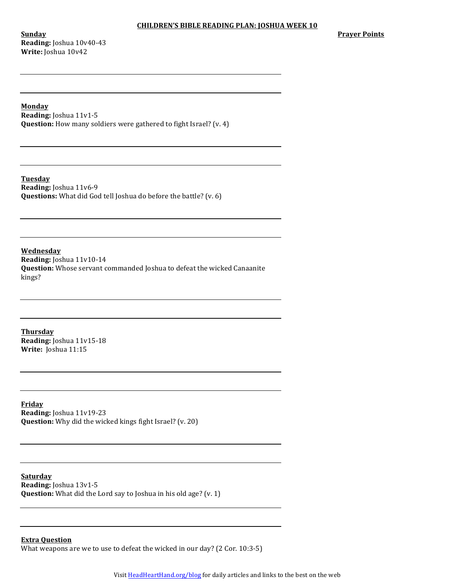**Sunday Reading:** Joshua 10v40-43 **Write:** Joshua 10v42

# **Monday**

**Reading:** Joshua 11v1-5 **Question:** How many soldiers were gathered to fight Israel? (v. 4)

**Tuesday Reading:** Joshua 11v6-9 **Questions:** What did God tell Joshua do before the battle? (v. 6)

**Wednesday Reading:** Joshua 11v10-14 **Question:** Whose servant commanded Joshua to defeat the wicked Canaanite kings?

**Thursday Reading:** Joshua 11v15-18 **Write:** Joshua 11:15

**Friday Reading:** Joshua 11v19-23 **Question:** Why did the wicked kings fight Israel? (v. 20)

**Saturday Reading:** Joshua 13v1-5 **Question:** What did the Lord say to Joshua in his old age? (v. 1)

## **Extra Question**

What weapons are we to use to defeat the wicked in our day?  $(2 \text{ Cor. } 10:3-5)$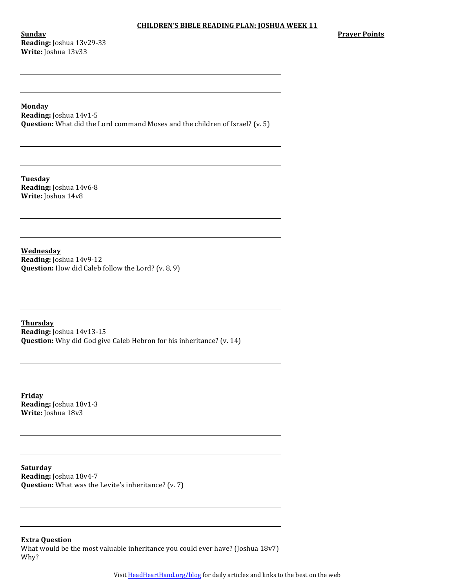**Sunday Reading:** Joshua 13v29-33 Write: Joshua 13v33

# **Monday**

**Reading:** Joshua 14v1-5 **Question:** What did the Lord command Moses and the children of Israel? (v. 5)

**Tuesday Reading:** Joshua 14v6-8 **Write:** Joshua 14v8

**Wednesday Reading:** Joshua 14v9-12 **Question:** How did Caleb follow the Lord? (v. 8, 9)

**Thursday Reading:** Joshua 14v13-15 **Question:** Why did God give Caleb Hebron for his inheritance? (v. 14)

**Friday Reading:** Joshua 18v1-3 **Write:** Joshua 18v3

**Saturday Reading:** Joshua 18v4-7 **Question:** What was the Levite's inheritance? (v. 7)

**Extra Question**

What would be the most valuable inheritance you could ever have? (Joshua  $18v7$ ) Why? 

Visit **HeadHeartHand.org/blog** for daily articles and links to the best on the web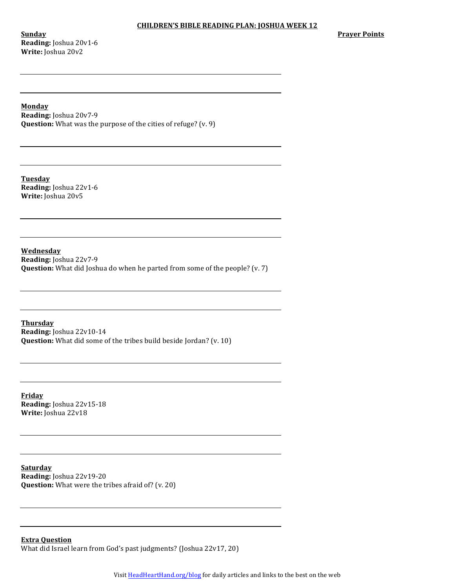**Sunday Reading:** Joshua 20v1-6 **Write:** Joshua 20v2

# **Monday**

**Reading:** Joshua 20v7-9 **Question:** What was the purpose of the cities of refuge? (v. 9)

**Tuesday Reading:** Joshua 22v1-6 Write: Joshua 20v5

**Wednesday Reading:** Joshua 22v7-9 **Question:** What did Joshua do when he parted from some of the people? (v. 7)

**Thursday Reading:** Joshua 22v10-14 **Question:** What did some of the tribes build beside Jordan? (v. 10)

**Friday Reading:** Joshua 22v15-18 **Write:** Joshua 22v18

**Saturday Reading:** Joshua 22v19-20 **Question:** What were the tribes afraid of? (v. 20)

**Extra Question** What did Israel learn from God's past judgments? (Joshua  $22v17, 20$ )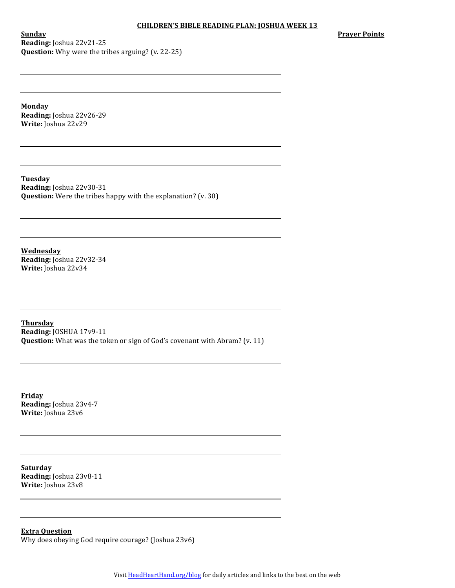**Sunday Reading:** Joshua 22v21-25 **Question:** Why were the tribes arguing? (v. 22-25) **Prayer Points** 

**Monday Reading:** Joshua 22v26-29 **Write:** Joshua 22v29

**Tuesday Reading:** Joshua 22v30-31 **Question:** Were the tribes happy with the explanation? (v. 30)

**Wednesday Reading:** Joshua 22v32-34 **Write:** Joshua 22v34

**Thursday Reading:** JOSHUA 17v9-11 **Question:** What was the token or sign of God's covenant with Abram? (v. 11)

**Friday Reading:** Joshua 23v4-7 **Write:** Joshua 23v6

**Saturday Reading:** Joshua 23v8-11 **Write:** Joshua 23v8

**Extra Question**

Why does obeying God require courage? (Joshua 23v6)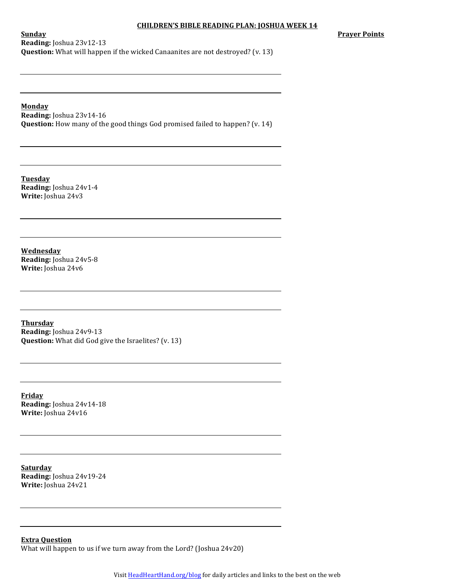**Sunday Reading:** Joshua 23v12-13 **Question:** What will happen if the wicked Canaanites are not destroyed? (v. 13) **Prayer Points** 

**Monday**

**Reading:** Joshua 23v14-16 **Question:** How many of the good things God promised failed to happen? (v. 14)

**Tuesday Reading:** Joshua 24v1-4 Write: Joshua 24v3

**Wednesday Reading:** Joshua 24v5-8 **Write:** Joshua 24v6

**Thursday Reading:** Joshua 24v9-13 **Question:** What did God give the Israelites? (v. 13)

**Friday Reading:** Joshua 24v14-18 **Write:** Joshua 24v16

**Saturday Reading:** Joshua 24v19-24 **Write:** Joshua 24v21

**Extra Question** What will happen to us if we turn away from the Lord? (Joshua  $24v20$ )